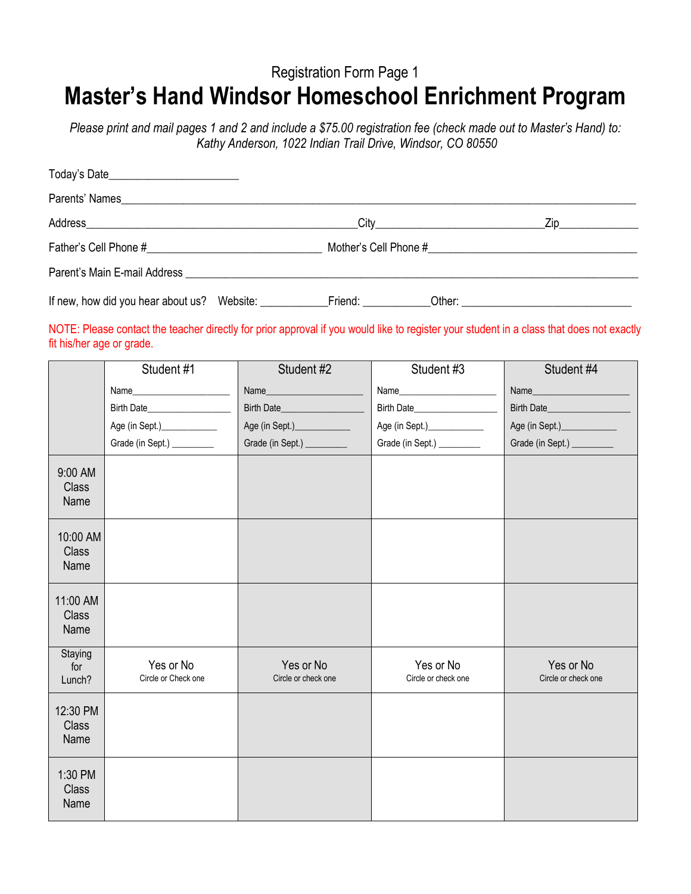## Registration Form Page 1 **Master's Hand Windsor Homeschool Enrichment Program**

*Please print and mail pages 1 and 2 and include a \$75.00 registration fee (check made out to Master's Hand) to: Kathy Anderson, 1022 Indian Trail Drive, Windsor, CO 80550*

| Today's Date |                    |  |
|--------------|--------------------|--|
|              |                    |  |
|              | Zip_______________ |  |
|              |                    |  |
|              |                    |  |
|              |                    |  |

## NOTE: Please contact the teacher directly for prior approval if you would like to register your student in a class that does not exactly fit his/her age or grade.

|                                  | Student #1                       | Student #2                       | Student #3                       | Student #4                       |
|----------------------------------|----------------------------------|----------------------------------|----------------------------------|----------------------------------|
|                                  |                                  |                                  |                                  | Name                             |
|                                  |                                  | Birth Date                       |                                  |                                  |
|                                  | Age (in Sept.)______________     | Age (in Sept.)_____________      | Age (in Sept.)______________     | Age (in Sept.)______________     |
|                                  | Grade (in Sept.) __________      | Grade (in Sept.) __________      | Grade (in Sept.) __________      | Grade (in Sept.) __________      |
| 9:00 AM<br>Class<br>Name         |                                  |                                  |                                  |                                  |
| 10:00 AM<br>Class<br>Name        |                                  |                                  |                                  |                                  |
| 11:00 AM<br><b>Class</b><br>Name |                                  |                                  |                                  |                                  |
| Staying<br>for<br>Lunch?         | Yes or No<br>Circle or Check one | Yes or No<br>Circle or check one | Yes or No<br>Circle or check one | Yes or No<br>Circle or check one |
| 12:30 PM<br>Class<br>Name        |                                  |                                  |                                  |                                  |
| 1:30 PM<br><b>Class</b><br>Name  |                                  |                                  |                                  |                                  |